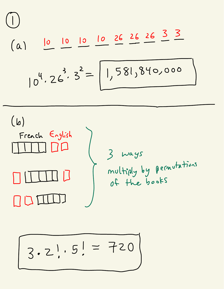(a)

\n
$$
\frac{10}{10} \frac{10}{10} = \frac{10}{10} = \frac{10}{10} = \frac{26}{10} = \frac{26}{10} = \frac{3}{10} = \frac{3}{10}
$$
\n(b)

\n
$$
\frac{3}{10} \div 3 = \frac{2}{10} = \frac{1}{10} = \frac{26}{10} = \frac{26}{10} = \frac{26}{10} = \frac{3}{10} = \frac{3}{10} = \frac{3}{10} = \frac{3}{10} = \frac{3}{10} = \frac{3}{10} = \frac{3}{10} = \frac{3}{10} = \frac{3}{10} = \frac{3}{10} = \frac{3}{10} = \frac{3}{10} = \frac{3}{10} = \frac{3}{10} = \frac{3}{10} = \frac{3}{10} = \frac{3}{10} = \frac{3}{10} = \frac{3}{10} = \frac{3}{10} = \frac{3}{10} = \frac{3}{10} = \frac{3}{10} = \frac{3}{10} = \frac{3}{10} = \frac{3}{10} = \frac{3}{10} = \frac{3}{10} = \frac{3}{10} = \frac{3}{10} = \frac{3}{10} = \frac{3}{10} = \frac{3}{10} = \frac{3}{10} = \frac{3}{10} = \frac{3}{10} = \frac{3}{10} = \frac{3}{10} = \frac{3}{10} = \frac{3}{10} = \frac{3}{10} = \frac{3}{10} = \frac{3}{10} = \frac{3}{10} = \frac{3}{10} = \frac{3}{10} = \frac{3}{10} = \frac{3}{10} = \frac{3}{10} = \frac{3}{10} = \frac{3}{10} = \frac{3}{10} = \frac{3}{10} = \frac{3}{10} = \frac{3}{10} = \frac{3}{10} = \frac{3}{10} = \frac{3}{10} = \frac{3}{10} = \frac{3}{10} = \frac{3}{10} = \frac{3}{10} = \frac{3}{10} = \frac{3}{10} = \frac{3}{10} = \frac{3}{10} = \frac{3}{10
$$

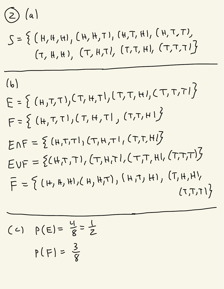$$
\bigodot\,\bigl(\,a\,\bigr)\,
$$

$$
S = \left\{ (H, H, H), (H, H, T), (H, T, H), (H, T, T), (T, H, H), (T, T, H), (T, T, T) \right\}
$$

(b)  
\n
$$
E = \{ (H, T, T), (T, H, T), (T, T, H), (T, T, T)^{T} \}
$$
\n
$$
F = \{ (H, T, T), (T, H, T), (T, T, H)^{T} \}
$$
\n
$$
ENF = \{ (H, T, T), (T, H, T), (T, T, H)^{T} \}
$$
\n
$$
EVF = \{ (H, T, T), (T, H, T), (T, T, H), (T, T, T)^{T} \}
$$
\n
$$
F = \{ (H, H, H), (H, H, T), (H, T), (H, T), (T, H, H), (T, T, T) \}
$$

(C) 
$$
\rho(E) = \frac{4}{8} = \frac{1}{2}
$$
  
 $\rho(F) = \frac{3}{8}$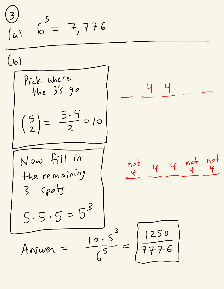$$
\frac{3}{\binom{a}{a}} = 7,776
$$
\n(b)\n
$$
\frac{\left(\frac{b}{b}\right)^{5}}{\left(\frac{5}{2}\right)^{3}} = \frac{5.4}{2} = 10
$$
\n
$$
\frac{5}{\binom{5}{2}} = \frac{5.4}{2} = 10
$$
\n
$$
\frac{14}{\binom{5}{2}} = \frac{4.4}{2} = 10
$$
\n
$$
\frac{10^{10}}{10^{10}}
$$
\n
$$
\frac{10^{11}}{10^{10}}
$$
\n
$$
\frac{10^{11}}{10^{10}}
$$
\n
$$
\frac{10^{11}}{10^{10}}
$$
\n
$$
\frac{10^{11}}{10^{10}}
$$
\n
$$
\frac{10^{10}}{10^{10}}
$$
\n
$$
\frac{10^{11}}{10^{10}}
$$
\n
$$
\frac{10^{11}}{10^{10}}
$$
\n
$$
\frac{10^{10}}{10^{10}}
$$
\n
$$
\frac{10^{11}}{10^{10}}
$$
\n
$$
\frac{10^{10}}{10^{10}}
$$
\n
$$
\frac{10^{11}}{10^{10}}
$$
\n
$$
\frac{10^{10}}{10^{10}}
$$
\n
$$
\frac{10^{11}}{10^{10}}
$$
\n
$$
\frac{10^{10}}{10^{10}}
$$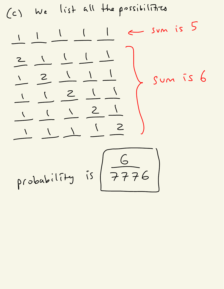(c) We list all the possibilities -11--11--1 <sup>←</sup> sum is <sup>5</sup> = -11--1-1 1- -21-1--1 1- 1--21--1 1- 1- 1- 2- <sup>y</sup>} sum is <sup>6</sup> 1- -11-1--2 probability is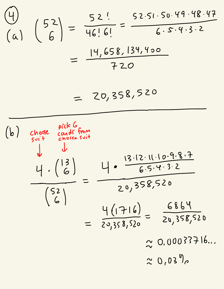$$
\begin{array}{c}\n\text{(4)} \\
\text{(a)} \\
\text{(52)} \\
\text{(6)} \\
\end{array} = \frac{52!}{46!6!} = \frac{52.51.50.49.48.47}{6.5.9.3.2}
$$
\n
$$
= \frac{14,658,134,400}{720}
$$

$$
= 20,358,520
$$

(b) choose end of from  
\n
$$
\frac{11}{6} \cdot \frac{13}{6} = \frac{11 \cdot \frac{13 \cdot 12 \cdot 11 \cdot 10 \cdot 9 \cdot 8 \cdot 7}{6 \cdot 5 \cdot 9 \cdot 32}}{20,358,520} = \frac{49 \cdot 1716}{20,358,520} = \frac{6869}{20,358,520} \approx 0.00033716...
$$